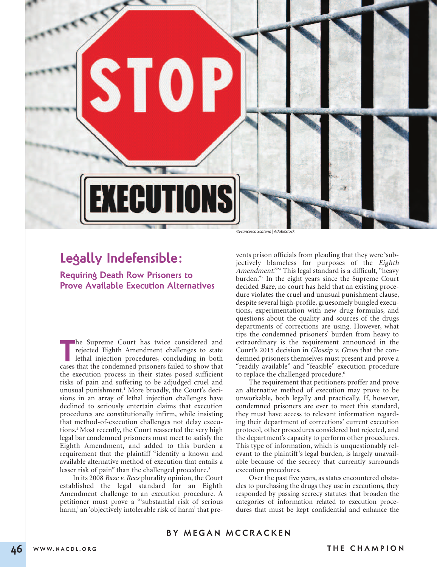

# **Legally Indefensible:**

**Requiring Death Row Prisoners to Prove Available Execution Alternatives**

The Supreme Court has twice considered and rejected Eighth Amendment challenges to state lethal injection procedures, concluding in both cases that the condemned prisoners failed to show that he Supreme Court has twice considered and rejected Eighth Amendment challenges to state lethal injection procedures, concluding in both the execution process in their states posed sufficient risks of pain and suffering to be adjudged cruel and unusual punishment. <sup>1</sup> More broadly, the Court's decisions in an array of lethal injection challenges have declined to seriously entertain claims that execution procedures are constitutionally infirm, while insisting that method-of-execution challenges not delay executions. <sup>2</sup> Most recently, the Court reasserted the very high legal bar condemned prisoners must meet to satisfy the Eighth Amendment, and added to this burden a requirement that the plaintiff "identify a known and available alternative method of execution that entails a lesser risk of pain" than the challenged procedure. 3

In its 2008 Baze v. Rees plurality opinion, the Court established the legal standard for an Eighth Amendment challenge to an execution procedure. A petitioner must prove a "'substantial risk of serious harm,' an 'objectively intolerable risk of harm' that pre-

vents prison officials from pleading that they were 'subjectively blameless for purposes of the Eighth Amendment."<sup>4</sup> This legal standard is a difficult, "heavy burden."5 In the eight years since the Supreme Court decided Baze, no court has held that an existing procedure violates the cruel and unusual punishment clause, despite several high-profile, gruesomely bungled executions, experimentation with new drug formulas, and questions about the quality and sources of the drugs departments of corrections are using. However, what tips the condemned prisoners' burden from heavy to extraordinary is the requirement announced in the Court's 2015 decision in Glossip v. Gross that the condemned prisoners themselves must present and prove a "readily available" and "feasible" execution procedure to replace the challenged procedure.<sup>6</sup>

The requirement that petitioners proffer and prove an alternative method of execution may prove to be unworkable, both legally and practically. If, however, condemned prisoners are ever to meet this standard, they must have access to relevant information regarding their department of corrections' current execution protocol, other procedures considered but rejected, and the department's capacity to perform other procedures. This type of information, which is unquestionably relevant to the plaintiff's legal burden, is largely unavailable because of the secrecy that currently surrounds execution procedures.

Over the past five years, as states encountered obstacles to purchasing the drugs they use in executions, they responded by passing secrecy statutes that broaden the categories of information related to execution procedures that must be kept confidential and enhance the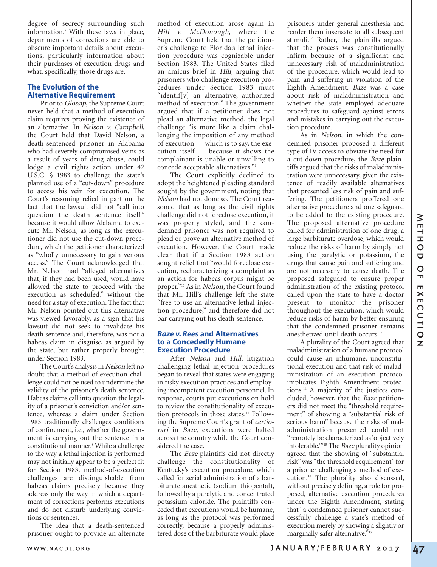degree of secrecy surrounding such information.7 With these laws in place, departments of corrections are able to obscure important details about executions, particularly information about their purchases of execution drugs and what, specifically, those drugs are.

# **The Evolution of the Alternative Requirement**

Prior to Glossip, the Supreme Court never held that a method-of-execution claim requires proving the existence of an alternative. In Nelson v. Campbell, the Court held that David Nelson, a death-sentenced prisoner in Alabama who had severely compromised veins as a result of years of drug abuse, could lodge a civil rights action under 42 U.S.C. § 1983 to challenge the state's planned use of a "cut-down" procedure to access his vein for execution. The Court's reasoning relied in part on the fact that the lawsuit did not "call into question the death sentence itself" because it would allow Alabama to execute Mr. Nelson, as long as the executioner did not use the cut-down procedure, which the petitioner characterized as "wholly unnecessary to gain venous access." The Court acknowledged that Mr. Nelson had "alleged alternatives that, if they had been used, would have allowed the state to proceed with the execution as scheduled," without the need for a stay of execution. The fact that Mr. Nelson pointed out this alternative was viewed favorably, as a sign that his lawsuit did not seek to invalidate his death sentence and, therefore, was not a habeas claim in disguise, as argued by the state, but rather properly brought under Section 1983.

The Court's analysis in Nelson left no doubt that a method-of-execution challenge could not be used to undermine the validity of the prisoner's death sentence. Habeas claims call into question the legality of a prisoner's conviction and/or sentence, whereas a claim under Section 1983 traditionally challenges conditions of confinement, i.e., whether the government is carrying out the sentence in a constitutional manner.<sup>8</sup> While a challenge to the way a lethal injection is performed may not initially appear to be a perfect fit for Section 1983, method-of-execution challenges are distinguishable from habeas claims precisely because they address only the way in which a department of corrections performs executions and do not disturb underlying convictions or sentences.

The idea that a death-sentenced prisoner ought to provide an alternate

method of execution arose again in Hill v. McDonough, where the Supreme Court held that the petitioner's challenge to Florida's lethal injection procedure was cognizable under Section 1983. The United States filed an amicus brief in Hill, arguing that prisoners who challenge execution procedures under Section 1983 must "identif[y] an alternative, authorized method of execution." The government argued that if a petitioner does not plead an alternative method, the legal challenge "is more like a claim challenging the imposition of any method of execution — which is to say, the execution itself — because it shows the complainant is unable or unwilling to concede acceptable alternatives."9

The Court explicitly declined to adopt the heightened pleading standard sought by the government, noting that Nelson had not done so. The Court reasoned that as long as the civil rights challenge did not foreclose execution, it was properly styled, and the condemned prisoner was not required to plead or prove an alternative method of execution. However, the Court made clear that if a Section 1983 action sought relief that "would foreclose execution, recharacterizing a complaint as an action for habeas corpus might be proper."<sup>10</sup> As in Nelson, the Court found that Mr. Hill's challenge left the state "free to use an alternative lethal injection procedure," and therefore did not bar carrying out his death sentence.

#### *Baze v. Rees* **and Alternatives to a Concededly Humane Execution Procedure**

After Nelson and Hill, litigation challenging lethal injection procedures began to reveal that states were engaging in risky execution practices and employing incompetent execution personnel. In response, courts put executions on hold to review the constitutionality of execution protocols in those states.<sup>11</sup> Following the Supreme Court's grant of certiorari in Baze, executions were halted across the country while the Court considered the case.

The Baze plaintiffs did not directly challenge the constitutionality of Kentucky's execution procedure, which called for serial administration of a barbiturate anesthetic (sodium thiopental), followed by a paralytic and concentrated potassium chloride. The plaintiffs conceded that executions would be humane, as long as the protocol was performed correctly, because a properly administered dose of the barbiturate would place

prisoners under general anesthesia and render them insensate to all subsequent stimuli.<sup>12</sup> Rather, the plaintiffs argued that the process was constitutionally infirm because of a significant and unnecessary risk of maladministration of the procedure, which would lead to pain and suffering in violation of the Eighth Amendment. Baze was a case about risk of maladministration and whether the state employed adequate procedures to safeguard against errors and mistakes in carrying out the execution procedure.

As in Nelson, in which the condemned prisoner proposed a different type of IV access to obviate the need for a cut-down procedure, the Baze plaintiffs argued that the risks of maladministration were unnecessary, given the existence of readily available alternatives that presented less risk of pain and suffering. The petitioners proffered one alternative procedure and one safeguard to be added to the existing procedure. The proposed alternative procedure called for administration of one drug, a large barbiturate overdose, which would reduce the risks of harm by simply not using the paralytic or potassium, the drugs that cause pain and suffering and are not necessary to cause death. The proposed safeguard to ensure proper administration of the existing protocol called upon the state to have a doctor present to monitor the prisoner throughout the execution, which would reduce risks of harm by better ensuring that the condemned prisoner remains anesthetized until death occurs.13

A plurality of the Court agreed that maladministration of a humane protocol could cause an inhumane, unconstitutional execution and that risk of maladministration of an execution protocol implicates Eighth Amendment protections.14 A majority of the justices concluded, however, that the Baze petitioners did not meet the "threshold requirement" of showing a "substantial risk of serious harm" because the risks of maladministration presented could not "remotely be characterized as 'objectively intolerable.'"15 The Baze plurality opinion agreed that the showing of "substantial risk" was "the threshold requirement" for a prisoner challenging a method of execution.16 The plurality also discussed, without precisely defining, a role for proposed, alternative execution procedures under the Eighth Amendment, stating that "a condemned prisoner cannot successfully challenge a state's method of execution merely by showing a slightly or marginally safer alternative."<sup>17</sup>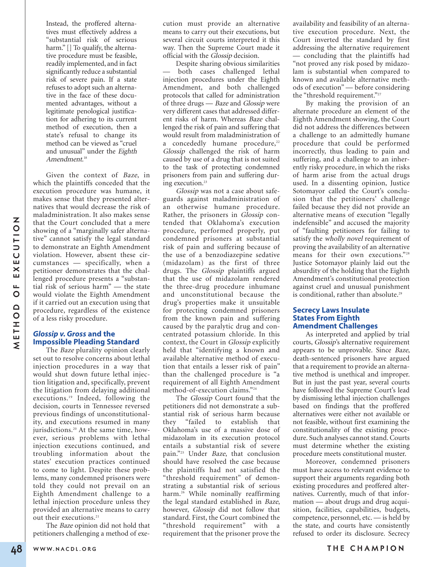Instead, the proffered alternatives must effectively address a "substantial risk of serious harm." [] To qualify, the alternative procedure must be feasible, readily implemented, and in fact significantly reduce a substantial risk of severe pain. If a state refuses to adopt such an alternative in the face of these documented advantages, without a legitimate penological justification for adhering to its current method of execution, then a state's refusal to change its method can be viewed as "cruel and unusual" under the Eighth Amendment. 18

Given the context of Baze, in which the plaintiffs conceded that the execution procedure was humane, it makes sense that they presented alternatives that would decrease the risk of maladministration. It also makes sense that the Court concluded that a mere showing of a "marginally safer alternative" cannot satisfy the legal standard to demonstrate an Eighth Amendment violation. However, absent these circumstances — specifically, when a petitioner demonstrates that the challenged procedure presents a "substantial risk of serious harm" — the state would violate the Eighth Amendment if it carried out an execution using that procedure, regardless of the existence of a less risky procedure.

## *Glossip v.Gross* **and the Impossible Pleading Standard**

The Baze plurality opinion clearly set out to resolve concerns about lethal injection procedures in a way that would shut down future lethal injection litigation and, specifically, prevent the litigation from delaying additional executions. <sup>19</sup> Indeed, following the decision, courts in Tennessee reversed previous findings of unconstitutionality, and executions resumed in many jurisdictions. <sup>20</sup> At the same time, however, serious problems with lethal injection executions continued, and troubling information about the states' execution practices continued to come to light. Despite these problems, many condemned prisoners were told they could not prevail on an Eighth Amendment challenge to a lethal injection procedure unless they provided an alternative means to carry out their executions. 21

The Baze opinion did not hold that petitioners challenging a method of execution must provide an alternative means to carry out their executions, but several circuit courts interpreted it this way. Then the Supreme Court made it official with the Glossip decision.

Despite sharing obvious similarities — both cases challenged lethal injection procedures under the Eighth Amendment, and both challenged protocols that called for administration of three drugs — Baze and Glossip were very different cases that addressed different risks of harm. Whereas Baze challenged the risk of pain and suffering that would result from maladministration of a concededly humane procedure,<sup>22</sup> Glossip challenged the risk of harm caused by use of a drug that is not suited to the task of protecting condemned prisoners from pain and suffering during execution. 23

Glossip was not a case about safeguards against maladministration of an otherwise humane procedure. Rather, the prisoners in Glossip contended that Oklahoma's execution procedure, performed properly, put condemned prisoners at substantial risk of pain and suffering because of the use of a benzodiazepine sedative (midazolam) as the first of three drugs. The Glossip plaintiffs argued that the use of midazolam rendered the three-drug procedure inhumane and unconstitutional because the drug's properties make it unsuitable for protecting condemned prisoners from the known pain and suffering caused by the paralytic drug and concentrated potassium chloride. In this context, the Court in Glossip explicitly held that "identifying a known and available alternative method of execution that entails a lesser risk of pain" than the challenged procedure is "a requirement of all Eighth Amendment method-of-execution claims."24

The Glossip Court found that the petitioners did not demonstrate a substantial risk of serious harm because they "failed to establish that Oklahoma's use of a massive dose of midazolam in its execution protocol entails a substantial risk of severe pain."<sup>25</sup> Under Baze, that conclusion should have resolved the case because the plaintiffs had not satisfied the "threshold requirement" of demonstrating a substantial risk of serious harm. <sup>26</sup> While nominally reaffirming the legal standard established in Baze, however, Glossip did not follow that standard. First, the Court combined the "threshold requirement" with a requirement that the prisoner prove the availability and feasibility of an alternative execution procedure. Next, the Court inverted the standard by first addressing the alternative requirement — concluding that the plaintiffs had "not proved any risk posed by midazolam is substantial when compared to known and available alternative methods of execution" — before considering the "threshold requirement."<sup>27</sup>

By making the provision of an alternate procedure an element of the Eighth Amendment showing, the Court did not address the differences between a challenge to an admittedly humane procedure that could be performed incorrectly, thus leading to pain and suffering, and a challenge to an inherently risky procedure, in which the risks of harm arise from the actual drugs used. In a dissenting opinion, Justice Sotomayor called the Court's conclusion that the petitioners' challenge failed because they did not provide an alternative means of execution "legally indefensible" and accused the majority of "faulting petitioners for failing to satisfy the wholly novel requirement of proving the availability of an alternative means for their own executions."28 Justice Sotomayor plainly laid out the absurdity of the holding that the Eighth Amendment's constitutional protection against cruel and unusual punishment is conditional, rather than absolute. 29

## **Secrecy Laws Insulate States From Eighth Amendment Challenges**

As interpreted and applied by trial courts, Glossip's alternative requirement appears to be unprovable. Since Baze, death-sentenced prisoners have argued that a requirement to provide an alternative method is unethical and improper. But in just the past year, several courts have followed the Supreme Court's lead by dismissing lethal injection challenges based on findings that the proffered alternatives were either not available or not feasible, without first examining the constitutionality of the existing procedure. Such analyses cannot stand. Courts must determine whether the existing procedure meets constitutional muster.

Moreover, condemned prisoners must have access to relevant evidence to support their arguments regarding both existing procedures and proffered alternatives. Currently, much of that information — about drugs and drug acquisition, facilities, capabilities, budgets, competence, personnel, etc. — is held by the state, and courts have consistently refused to order its disclosure. Secrecy

**N**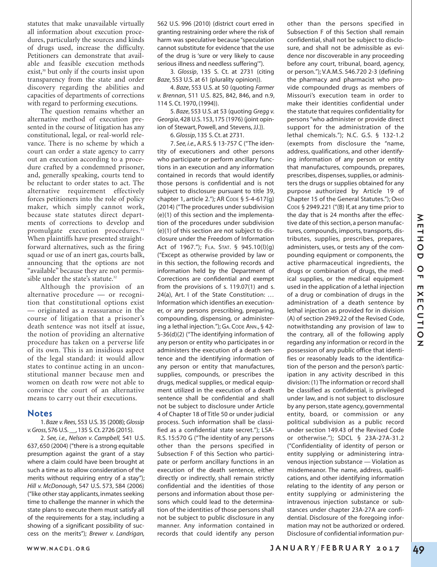statutes that make unavailable virtually all information about execution procedures, particularly the sources and kinds of drugs used, increase the difficulty. Petitioners can demonstrate that available and feasible execution methods exist, <sup>30</sup> but only if the courts insist upon transparency from the state and order discovery regarding the abilities and capacities of departments of corrections with regard to performing executions.

The question remains whether an alternative method of execution presented in the course of litigation has any constitutional, legal, or real-world relevance. There is no scheme by which a court can order a state agency to carry out an execution according to a procedure crafted by a condemned prisoner, and, generally speaking, courts tend to be reluctant to order states to act. The alternative requirement effectively forces petitioners into the role of policy maker, which simply cannot work, because state statutes direct departments of corrections to develop and promulgate execution procedures. 31 When plaintiffs have presented straightforward alternatives, such as the firing squad or use of an inert gas, courts balk, announcing that the options are not "available" because they are not permissible under the state's statute.<sup>32</sup>

Although the provision of an alternative procedure — or recognition that constitutional options exist — originated as a reassurance in the course of litigation that a prisoner's death sentence was not itself at issue, the notion of providing an alternative procedure has taken on a perverse life of its own. This is an insidious aspect of the legal standard: it would allow states to continue acting in an unconstitutional manner because men and women on death row were not able to convince the court of an alternative means to carry out their executions.

# **Notes**

1. *Baze v.Rees*, 553 U.S. 35 (2008); *Glossip v.Gross*,576 U.S.\_\_,135 S.Ct.2726 (2015).

2. *See, i.e., Nelson v. Campbell,* 541 U.S. 637, 650 (2004) ("there is a strong equitable presumption against the grant of a stay where a claim could have been brought at such a time as to allow consideration of the merits without requiring entry of a stay"); *Hill v. McDonough*, 547 U.S. 573, 584 (2006) ("like other stay applicants, inmates seeking time to challenge the manner in which the state plans to execute them must satisfy all of the requirements for a stay, including a showing of a significant possibility of success on the merits"); *Brewer v. Landrigan,*

562 U.S. 996 (2010) (district court erred in granting restraining order where the risk of harm was speculative because "speculation cannot substitute for evidence that the use of the drug is 'sure or very likely to cause serious illness and needless suffering'").

3. *Glossip*, 135 S. Ct. at 2731 (citing *Baze*, 553 U.S. at 61 (plurality opinion)).

4. *Baze*, 553 U.S. at 50 (quoting *Farmer v. Brennan*, 511 U.S. 825, 842, 846, and n.9, 114 S. Ct. 1970, (1994)).

5. *Baze*, 553 U.S. at 53 (quoting *Gregg v. Georgia*,428 U.S.153,175 (1976) (joint opinion of Stewart, Powell, and Stevens, JJ.)).

6. *Glossip*, 135 S. Ct. at 2731.

7. *See, i.e.,*A.R.S. § 13-757 C ("The identity of executioners and other persons who participate or perform ancillary functions in an execution and any information contained in records that would identify those persons is confidential and is not subject to disclosure pursuant to title 39, chapter 1, article 2."); AR CODE § 5-4-617(g) (2014) ("The procedures under subdivision (e)(1) of this section and the implementation of the procedures under subdivision (e)(1) of this section are not subject to disclosure under the Freedom of Information Act of 1967."); FLA. STAT. § 945.10(l)(g) ("Except as otherwise provided by law or in this section, the following records and information held by the Department of Corrections are confidential and exempt from the provisions of s. 119.07(1) and s. 24(a), Art. I of the State Constitution: … Information which identifies an executioner, or any persons prescribing, preparing, compounding, dispensing, or administering a lethal injection."); GA. CODE ANN., § 42- 5-36(d)(2) ("The identifying information of any person or entity who participates in or administers the execution of a death sentence and the identifying information of any person or entity that manufactures, supplies, compounds, or prescribes the drugs, medical supplies, or medical equipment utilized in the execution of a death sentence shall be confidential and shall not be subject to disclosure under Article 4 of Chapter 18 of Title 50 or under judicial process. Such information shall be classified as a confidential state secret."); LSA-R.S. 15:570 G ("The identity of any persons other than the persons specified in Subsection F of this Section who participate or perform ancillary functions in an execution of the death sentence, either directly or indirectly, shall remain strictly confidential and the identities of those persons and information about those persons which could lead to the determination of the identities of those persons shall not be subject to public disclosure in any manner. Any information contained in records that could identify any person

other than the persons specified in Subsection F of this Section shall remain confidential, shall not be subject to disclosure, and shall not be admissible as evidence nor discoverable in any proceeding before any court, tribunal, board, agency, or person."); V.A.M.S. 546.720 2-3 (defining the pharmacy and pharmacist who provide compounded drugs as members of Missouri's execution team in order to make their identities confidential under the statute that requires confidentiality for persons"who administer or provide direct support for the administration of the lethal chemicals."); N.C. G.S. § 132-1.2 (exempts from disclosure the "name, address, qualifications, and other identifying information of any person or entity that manufactures, compounds, prepares, prescribes, dispenses, supplies, or administers the drugs or supplies obtained for any purpose authorized by Article 19 of Chapter 15 of the General Statutes."); OHIO CODE § 2949.221 ("(B) If, at any time prior to the day that is 24 months after the effective date of this section, a person manufactures, compounds, imports, transports, distributes, supplies, prescribes, prepares, administers, uses, or tests any of the compounding equipment or components, the active pharmaceutical ingredients, the drugs or combination of drugs, the medical supplies, or the medical equipment used in the application of a lethal injection of a drug or combination of drugs in the administration of a death sentence by lethal injection as provided for in division (A) of section 2949.22 of the Revised Code, notwithstanding any provision of law to the contrary, all of the following apply regarding any information or record in the possession of any public office that identifies or reasonably leads to the identification of the person and the person's participation in any activity described in this division: (1) The information or record shall be classified as confidential, is privileged under law, and is not subject to disclosure by any person, state agency, governmental entity, board, or commission or any political subdivision as a public record under section 149.43 of the Revised Code or otherwise."); SDCL § 23A-27A-31.2 ("Confidentiality of identity of person or entity supplying or administering intravenous injection substance — Violation as misdemeanor. The name, address, qualifications, and other identifying information relating to the identity of any person or entity supplying or administering the intravenous injection substance or substances under chapter 23A-27A are confidential. Disclosure of the foregoing information may not be authorized or ordered. Disclosure of confidential information pur-

**49**

**M**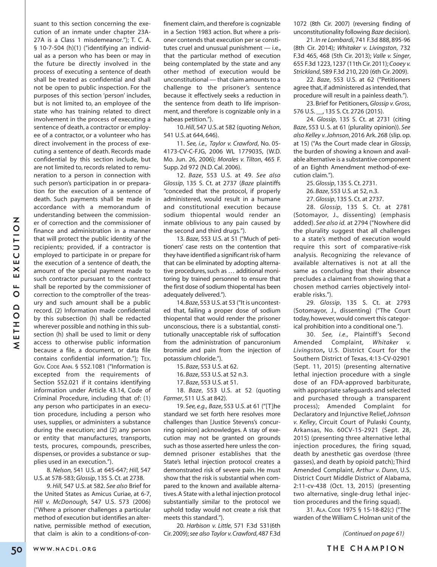suant to this section concerning the execution of an inmate under chapter 23A-27A is a Class 1 misdemeanor."); T. C. A. § 10-7-504 (h)(1) ("identifying an individual as a person who has been or may in the future be directly involved in the process of executing a sentence of death shall be treated as confidential and shall not be open to public inspection. For the purposes of this section 'person' includes, but is not limited to, an employee of the state who has training related to direct involvement in the process of executing a sentence of death, a contractor or employee of a contractor, or a volunteer who has direct involvement in the process of executing a sentence of death. Records made confidential by this section include, but are not limited to, records related to remuneration to a person in connection with such person's participation in or preparation for the execution of a sentence of death. Such payments shall be made in accordance with a memorandum of understanding between the commissioner of correction and the commissioner of finance and administration in a manner that will protect the public identity of the recipients; provided, if a contractor is employed to participate in or prepare for the execution of a sentence of death, the amount of the special payment made to such contractor pursuant to the contract shall be reported by the commissioner of correction to the comptroller of the treasury and such amount shall be a public record. (2) Information made confidential by this subsection (h) shall be redacted wherever possible and nothing in this subsection (h) shall be used to limit or deny access to otherwise public information because a file, a document, or data file contains confidential information."); TEX. GOV. CODE ANN. § 552.1081 ("Information is excepted from the requirements of Section 552.021 if it contains identifying information under Article 43.14, Code of Criminal Procedure, including that of: (1) any person who participates in an execution procedure, including a person who uses, supplies, or administers a substance during the execution; and (2) any person or entity that manufactures, transports, tests, procures, compounds, prescribes, dispenses, or provides a substance or supplies used in an execution."). 8. *Nelson,* 541 U.S. at 645-647; *Hill,* 547

U.S. at 578-583; *Glossip*, 135 S. Ct. at 2738.

9. *Hill*, 547 U.S. at 582. *See also* Brief for the United States as Amicus Curiae, at 6-7, *Hill v. McDonough,* 547 U.S. 573 (2006) ("Where a prisoner challenges a particular method of execution but identifies an alternative, permissible method of execution, that claim is akin to a conditions-of-confinement claim, and therefore is cognizable in a Section 1983 action. But where a prisoner contends that execution per se constitutes cruel and unusual punishment — i.e., that the particular method of execution being contemplated by the state and any other method of execution would be unconstitutional — that claim amounts to a challenge to the prisoner's sentence because it effectively seeks a reduction in the sentence from death to life imprisonment, and therefore is cognizable only in a habeas petition.").

10.*Hill*, 547 U.S. at 582 (quoting *Nelson*, 541 U.S. at 644, 646).

11. *See, i.e., Taylor v. Crawford*, No. 05- 4173-CV-C-FJG, 2006 WL 1779035, (W.D. Mo. Jun. 26, 2006); *Morales v. Tilton*, 465 F. Supp. 2d 972 (N.D. Cal. 2006).

12. *Baze*, 553 U.S. at 49. *See also Glossip*, 135 S. Ct. at 2737 (*Baze* plaintiffs "conceded that the protocol, if properly administered, would result in a humane and constitutional execution because sodium thiopental would render an inmate oblivious to any pain caused by the second and third drugs.").

13. *Baze*, 553 U.S. at 51 ("Much of petitioners' case rests on the contention that they have identified a significant risk of harm that can be eliminated by adopting alternative procedures, such as ... additional monitoring by trained personnel to ensure that the first dose of sodium thiopental has been adequately delivered.").

14.*Baze*,553 U.S.at 53 ("It is uncontested that, failing a proper dose of sodium thiopental that would render the prisoner unconscious, there is a substantial, constitutionally unacceptable risk of suffocation from the administration of pancuronium bromide and pain from the injection of potassium chloride.").

15. *Baze*, 553 U.S. at 62.

16. *Baze*, 553 U.S. at 52 n.3.

17. *Baze*, 553 U.S. at 51.

18. *Baze*, 553 U.S. at 52 (quoting *Farmer*, 511 U.S. at 842).

19. *See, e.g., Baze*, 553 U.S. at 61 ("[T]he standard we set forth here resolves more challenges than [Justice Stevens's concurring opinion] acknowledges. A stay of execution may not be granted on grounds such as those asserted here unless the condemned prisoner establishes that the State's lethal injection protocol creates a demonstrated risk of severe pain. He must show that the risk is substantial when compared to the known and available alternatives.A State with a lethal injection protocol substantially similar to the protocol we uphold today would not create a risk that meets this standard.").

20. *Harbison v. Little*, 571 F.3d 531(6th Cir. 2009);*see also Taylor v.Crawford*, 487 F.3d

1072 (8th Cir. 2007) (reversing finding of unconstitutionality following *Baze* decision).

21. *In re Lombardi*, 741 F.3d 888, 895-96 (8th Cir. 2014); *Whitaker v. Livingston*, 732 F.3d 465, 468 (5th Cir. 2013); *Valle v. Singer*, 655 F.3d 1223,1237 (11th Cir.2011);*Cooey v. Strickland*, 589 F.3d 210, 220 (6th Cir. 2009).

22. *Baze*, 553 U.S. at 62 ("Petitioners agree that, if administered as intended, that procedure will result in a painless death.").

23. Brief for Petitioners, *Glossip v.Gross*, 576 U.S. \_\_, 135 S. Ct. 2726 (2015).

24. *Glossip*, 135 S. Ct. at 2731 (citing *Baze*, 553 U. S. at 61 (plurality opinion)). *See also Kelley v.Johnson*, 2016 Ark. 268 (slip. op. at 15) ("As the Court made clear in *Glossip*, the burden of showing a known and available alternative is a substantive component of an Eighth Amendment method-of-execution claim.").

> 25. *Glossip*, 135 S. Ct. 2731. 26. *Baze*, 553 U.S. at 52, n.3.

27. *Glossip*, 135 S. Ct. at 2737.

28. *Glossip*, 135 S. Ct. at 2781 (Sotomayor, J., dissenting) (emphasis added). *See also id.* at 2794 ("Nowhere did the plurality suggest that all challenges to a state's method of execution would require this sort of comparative-risk analysis. Recognizing the relevance of available alternatives is not at all the same as concluding that their absence precludes a claimant from showing that a chosen method carries objectively intolerable risks.").

29. *Glossip*, 135 S. Ct. at 2793 (Sotomayor, J., dissenting) ("The Court today, however, would convert this categorical prohibition into a conditional one.").

30. *See, i.e.,* Plaintiff's Second Amended Complaint, *Whitaker v. Livingston***,** U.S. District Court for the Southern District of Texas, 4:13-CV-02901 (Sept. 11, 2015) (presenting alternative lethal injection procedure with a single dose of an FDA-approved barbiturate, with appropriate safeguards and selected and purchased through a transparent process); Amended Complaint for Declaratory and Injunctive Relief,*Johnson v. Kelley*, Circuit Court of Pulaski County, Arkansas, No. 60CV-15-2921 (Sept. 28, 2015) (presenting three alternative lethal injection procedures, the firing squad, death by anesthetic gas overdose (three gasses), and death by opioid patch); Third Amended Complaint, *Arthur v. Dunn*, U.S. District Court Middle District of Alabama, 2:11-cv-438 (Oct. 13, 2015) (presenting two alternative, single-drug lethal injection procedures and the firing squad).

31. ALA. CODE 1975 § 15-18-82(C) ("The warden of the William C.Holman unit of the

*(Continued on page 61)*

**N**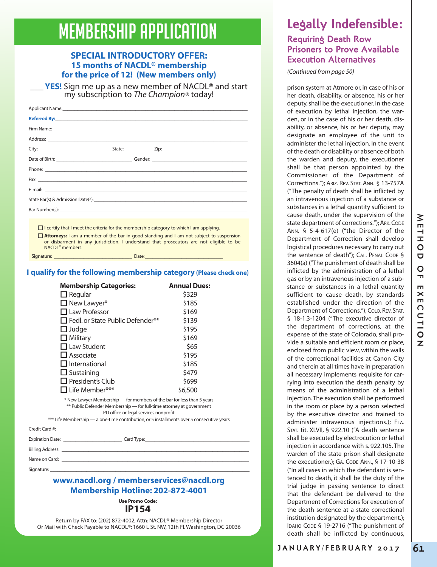# **MEMBERSHIP APPLICATION**

# **SPECIAL INTRODUCTORY OFFER: 15 months of NACDL® membership for the price of 12! (New members only)**

**YES!** Sign me up as a new member of NACDL® and start my subscription to *The Champion®* today!

|  | the Four count of the theory and construct fourth construction of the construction of the transfer of the construction |
|--|------------------------------------------------------------------------------------------------------------------------|

 $\Box$  I certify that I meet the criteria for the membership category to which I am applying. o **Attorneys:** I am a member of the bar in good standing and I am not subject to suspension

Signature: \_\_\_\_\_\_\_\_\_\_\_\_\_\_\_\_\_\_\_\_\_\_\_\_\_\_\_\_\_\_\_\_ Date:\_\_\_\_\_\_\_\_\_\_\_\_\_\_\_\_\_\_\_\_\_\_\_\_\_\_\_\_\_\_\_\_

or disbarment in any jurisdiction. I understand that prosecutors are not eligible to be NACDL® members.

# **I qualify for the following membership category (Please check one)**

| <b>Membership Categories:</b>                                                                                                                                                           | <b>Annual Dues:</b> |  |  |  |
|-----------------------------------------------------------------------------------------------------------------------------------------------------------------------------------------|---------------------|--|--|--|
| $\Box$ Regular                                                                                                                                                                          | \$329               |  |  |  |
| $\Box$ New Lawyer*                                                                                                                                                                      | \$185               |  |  |  |
| $\Box$ Law Professor                                                                                                                                                                    | \$169               |  |  |  |
| $\Box$ Fedl. or State Public Defender**                                                                                                                                                 | \$139               |  |  |  |
| $\Box$ Judge                                                                                                                                                                            | \$195               |  |  |  |
| $\Box$ Military                                                                                                                                                                         | \$169               |  |  |  |
| $\Box$ Law Student                                                                                                                                                                      | \$65                |  |  |  |
| $\Box$ Associate                                                                                                                                                                        | \$195               |  |  |  |
| $\Box$ International                                                                                                                                                                    | \$185               |  |  |  |
| $\Box$ Sustaining                                                                                                                                                                       | \$479               |  |  |  |
| $\Box$ President's Club                                                                                                                                                                 | \$699               |  |  |  |
| $\Box$ Life Member***                                                                                                                                                                   | \$6,500             |  |  |  |
| * New Lawyer Membership — for members of the bar for less than 5 years<br>** Public Defender Membership - for full-time attorney at government<br>PD office or legal services nonprofit |                     |  |  |  |
| *** Life Membership — a one-time contribution; or 5 installments over 5 consecutive years                                                                                               |                     |  |  |  |
| Credit Card #:                                                                                                                                                                          |                     |  |  |  |

Expiration Date: \_\_\_\_\_\_\_\_\_\_\_\_\_\_\_\_\_\_\_\_\_\_\_\_ Card Type:\_\_\_\_\_\_\_\_\_\_\_\_\_\_\_\_\_\_\_\_\_\_\_\_\_\_\_\_\_\_\_\_\_\_\_\_\_\_\_\_\_\_\_

Billing Address:

Name on Card:

Signature: \_\_\_\_\_\_\_\_\_\_\_\_\_\_\_\_\_\_\_\_\_\_\_\_\_\_\_\_\_\_\_\_\_\_\_\_\_\_\_\_\_\_\_\_\_\_\_\_\_\_\_\_\_\_\_\_\_\_\_\_\_\_\_\_\_\_\_\_\_\_\_\_\_\_\_\_\_\_\_\_\_\_

# **www.nacdl.org / memberservices@nacdl.org Membership Hotline: 202-872-4001**

**Use Promo Code: IP154**

Return by FAX to: (202) 872-4002, Attn: NACDL® Membership Director Or Mail with Check Payable to NACDL®: 1660 L St. NW, 12th Fl. Washington, DC 20036

# **Legally Indefensible:**

# **Requiring Death Row Prisoners to Prove Available Execution Alternatives**

*(Continued from page 50)*

prison system at Atmore or, in case of his or her death, disability, or absence, his or her deputy, shall be the executioner. In the case of execution by lethal injection, the warden, or in the case of his or her death, disability, or absence, his or her deputy, may designate an employee of the unit to administer the lethal injection. In the event of the death or disability or absence of both the warden and deputy, the executioner shall be that person appointed by the Commissioner of the Department of Corrections."); ARIZ. REV. STAT. ANN. § 13-757A ("The penalty of death shall be inflicted by an intravenous injection of a substance or substances in a lethal quantity sufficient to cause death, under the supervision of the state department of corrections.");ARK.CODE ANN. § 5-4-617(e) ("the Director of the Department of Correction shall develop logistical procedures necessary to carry out the sentence of death"); CAL. PENAL CODE § 3604(a) ("The punishment of death shall be inflicted by the administration of a lethal gas or by an intravenous injection of a substance or substances in a lethal quantity sufficient to cause death, by standards established under the direction of the Department of Corrections.");COLO.REV. STAT. § 18-1.3-1204 ("The executive director of the department of corrections, at the expense of the state of Colorado, shall provide a suitable and efficient room or place, enclosed from public view, within the walls of the correctional facilities at Canon City and therein at all times have in preparation all necessary implements requisite for carrying into execution the death penalty by means of the administration of a lethal injection.The execution shall be performed in the room or place by a person selected by the executive director and trained to administer intravenous injections.); FLA. STAT. tit. XLVII, § 922.10 ("A death sentence shall be executed by electrocution or lethal injection in accordance with s. 922.105.The warden of the state prison shall designate the executioner.); GA. CODE ANN., § 17-10-38 ("In all cases in which the defendant is sentenced to death, it shall be the duty of the trial judge in passing sentence to direct that the defendant be delivered to the Department of Corrections for execution of the death sentence at a state correctional institution designated by the department.); IDAHO CODE § 19-2716 ("The punishment of death shall be inflicted by continuous,

**61**